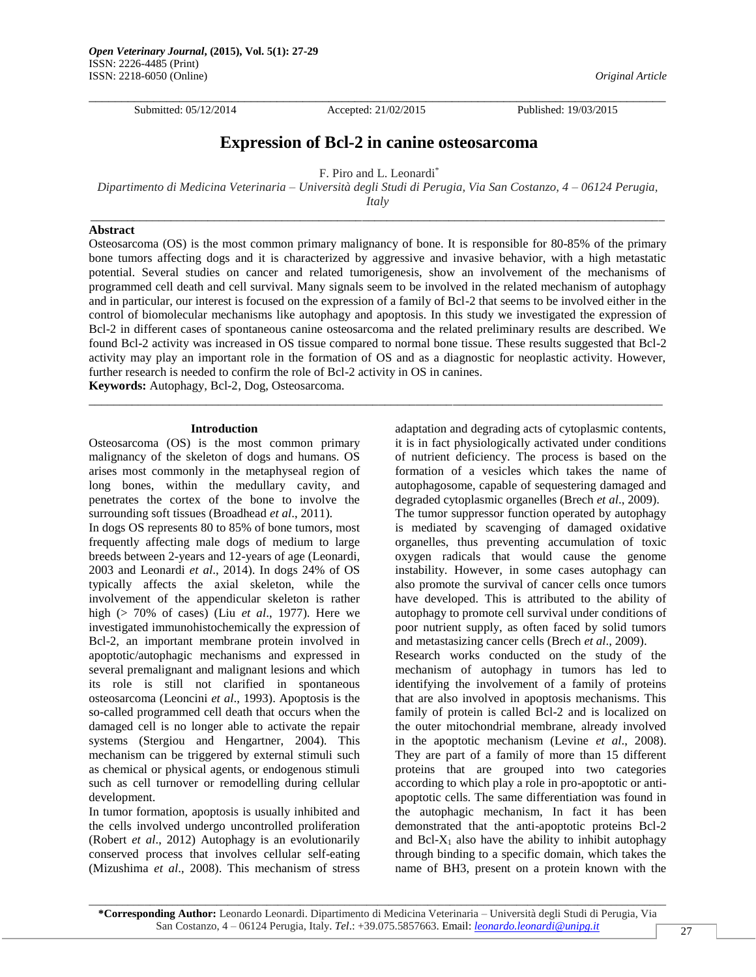Submitted: 05/12/2014 Accepted: 21/02/2015 Published: 19/03/2015

 $\Box$ 

# **Expression of Bcl-2 in canine osteosarcoma**

F. Piro and L. Leonardi\*

*Dipartimento di Medicina Veterinaria – Università degli Studi di Perugia, Via San Costanzo, 4 – 06124 Perugia, Italy* \_\_\_\_\_\_\_\_\_\_\_\_\_\_\_\_\_\_\_\_\_\_\_\_\_\_\_\_\_\_\_\_\_\_\_\_\_\_\_\_\_\_\_\_\_\_\_\_\_\_\_\_\_\_\_\_\_\_\_\_\_\_\_\_\_\_\_\_\_\_\_\_\_\_\_\_\_\_\_\_\_\_\_\_\_\_\_\_\_\_\_\_\_

## **Abstract**

Osteosarcoma (OS) is the most common primary malignancy of bone. It is responsible for 80-85% of the primary bone tumors affecting dogs and it is characterized by aggressive and invasive behavior, with a high metastatic potential. Several studies on cancer and related tumorigenesis, show an involvement of the mechanisms of programmed cell death and cell survival. Many signals seem to be involved in the related mechanism of autophagy and in particular, our interest is focused on the expression of a family of Bcl-2 that seems to be involved either in the control of biomolecular mechanisms like autophagy and apoptosis. In this study we investigated the expression of Bcl-2 in different cases of spontaneous canine osteosarcoma and the related preliminary results are described. We found Bcl-2 activity was increased in OS tissue compared to normal bone tissue. These results suggested that Bcl-2 activity may play an important role in the formation of OS and as a diagnostic for neoplastic activity. However, further research is needed to confirm the role of Bcl-2 activity in OS in canines.

\_\_\_\_\_\_\_\_\_\_\_\_\_\_\_\_\_\_\_\_\_\_\_\_\_\_\_\_\_\_\_\_\_\_\_\_\_\_\_\_\_\_\_\_\_\_\_\_\_\_\_\_\_\_\_\_\_\_\_\_\_\_\_\_\_\_\_\_\_\_\_\_\_\_\_\_\_\_\_\_\_\_\_\_\_\_\_\_\_\_\_\_\_

**Keywords:** Autophagy, Bcl-2, Dog, Osteosarcoma.

#### **Introduction**

Osteosarcoma (OS) is the most common primary malignancy of the skeleton of dogs and humans. OS arises most commonly in the metaphyseal region of long bones, within the medullary cavity, and penetrates the cortex of the bone to involve the surrounding soft tissues (Broadhead *et al*., 2011).

In dogs OS represents 80 to 85% of bone tumors, most frequently affecting male dogs of medium to large breeds between 2-years and 12-years of age (Leonardi, 2003 and Leonardi *et al*., 2014). In dogs 24% of OS typically affects the axial skeleton, while the involvement of the appendicular skeleton is rather high (> 70% of cases) (Liu *et al*., 1977). Here we investigated immunohistochemically the expression of Bcl-2, an important membrane protein involved in apoptotic/autophagic mechanisms and expressed in several premalignant and malignant lesions and which its role is still not clarified in spontaneous osteosarcoma (Leoncini *et al*., 1993). Apoptosis is the so-called programmed cell death that occurs when the damaged cell is no longer able to activate the repair systems (Stergiou and Hengartner, 2004). This mechanism can be triggered by external stimuli such as chemical or physical agents, or endogenous stimuli such as cell turnover or remodelling during cellular development.

In tumor formation, apoptosis is usually inhibited and the cells involved undergo uncontrolled proliferation (Robert *et al*., 2012) Autophagy is an evolutionarily conserved process that involves cellular self-eating (Mizushima *et al*., 2008). This mechanism of stress

adaptation and degrading acts of cytoplasmic contents, it is in fact physiologically activated under conditions of nutrient deficiency. The process is based on the formation of a vesicles which takes the name of autophagosome, capable of sequestering damaged and degraded cytoplasmic organelles (Brech *et al*., 2009). The tumor suppressor function operated by autophagy is mediated by scavenging of damaged oxidative organelles, thus preventing accumulation of toxic oxygen radicals that would cause the genome instability. However, in some cases autophagy can also promote the survival of cancer cells once tumors have developed. This is attributed to the ability of autophagy to promote cell survival under conditions of poor nutrient supply, as often faced by solid tumors and metastasizing cancer cells (Brech *et al*., 2009).

Research works conducted on the study of the mechanism of autophagy in tumors has led to identifying the involvement of a family of proteins that are also involved in apoptosis mechanisms. This family of protein is called Bcl-2 and is localized on the outer mitochondrial membrane, already involved in the apoptotic mechanism (Levine *et al*., 2008). They are part of a family of more than 15 different proteins that are grouped into two categories according to which play a role in pro-apoptotic or antiapoptotic cells. The same differentiation was found in the autophagic mechanism, In fact it has been demonstrated that the anti-apoptotic proteins Bcl-2 and Bcl- $X_1$  also have the ability to inhibit autophagy through binding to a specific domain, which takes the name of BH3, present on a protein known with the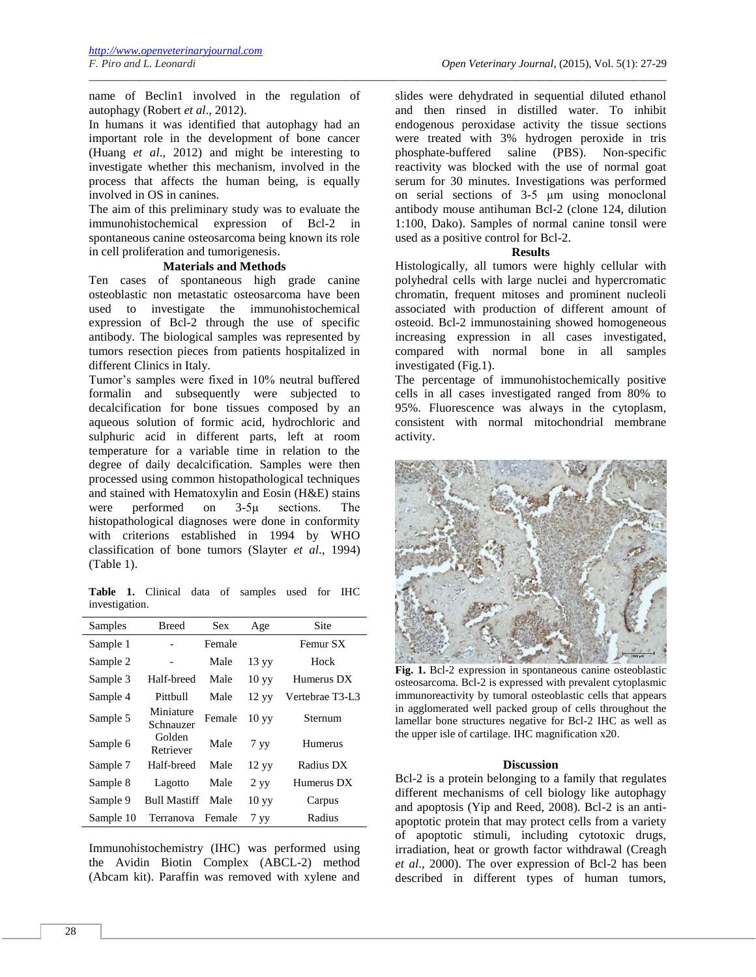name of Beclin1 involved in the regulation of autophagy (Robert *et al*., 2012).

\_\_\_\_\_\_\_\_\_\_\_\_\_\_\_\_\_\_\_\_\_\_\_\_\_\_\_\_\_\_\_\_\_\_\_\_\_\_\_\_\_\_\_\_\_\_\_\_\_\_\_\_\_\_\_\_\_\_\_\_\_\_\_\_\_\_\_\_\_\_\_\_\_\_\_\_\_\_\_\_\_\_\_\_\_\_\_\_\_\_\_\_\_\_\_\_\_\_\_\_\_\_\_\_

In humans it was identified that autophagy had an important role in the development of bone cancer (Huang *et al*., 2012) and might be interesting to investigate whether this mechanism, involved in the process that affects the human being, is equally involved in OS in canines.

The aim of this preliminary study was to evaluate the immunohistochemical expression of Bcl-2 in spontaneous canine osteosarcoma being known its role in cell proliferation and tumorigenesis.

# **Materials and Methods**

Ten cases of spontaneous high grade canine osteoblastic non metastatic osteosarcoma have been used to investigate the immunohistochemical expression of Bcl-2 through the use of specific antibody. The biological samples was represented by tumors resection pieces from patients hospitalized in different Clinics in Italy.

Tumor's samples were fixed in 10% neutral buffered formalin and subsequently were subjected to decalcification for bone tissues composed by an aqueous solution of formic acid, hydrochloric and sulphuric acid in different parts, left at room temperature for a variable time in relation to the degree of daily decalcification. Samples were then processed using common histopathological techniques and stained with Hematoxylin and Eosin (H&E) stains were performed on 3-5μ sections. The histopathological diagnoses were done in conformity with criterions established in 1994 by WHO classification of bone tumors (Slayter *et al*., 1994) (Table 1).

**Table 1.** Clinical data of samples used for IHC investigation.

| Samples   | <b>Breed</b>           | <b>Sex</b> | Age              | Site            |
|-----------|------------------------|------------|------------------|-----------------|
| Sample 1  |                        | Female     |                  | Femur SX        |
| Sample 2  |                        | Male       | 13 yy            | Hock            |
| Sample 3  | Half-breed             | Male       | 10 <sub>yy</sub> | Humerus DX      |
| Sample 4  | Pittbull               | Male       | 12 yy            | Vertebrae T3-L3 |
| Sample 5  | Miniature<br>Schnauzer | Female     | 10 yy            | Sternum         |
| Sample 6  | Golden<br>Retriever    | Male       | 7 <sub>yy</sub>  | Humerus         |
| Sample 7  | Half-breed             | Male       | 12 yy            | Radius DX       |
| Sample 8  | Lagotto                | Male       | 2 yy             | Humerus DX      |
| Sample 9  | <b>Bull Mastiff</b>    | Male       | 10 <sub>yy</sub> | Carpus          |
| Sample 10 | Terranova              | Female     | 7 <sub>yy</sub>  | Radius          |

Immunohistochemistry (IHC) was performed using the Avidin Biotin Complex (ABCL-2) method (Abcam kit). Paraffin was removed with xylene and

slides were dehydrated in sequential diluted ethanol and then rinsed in distilled water. To inhibit endogenous peroxidase activity the tissue sections were treated with 3% hydrogen peroxide in tris phosphate-buffered saline (PBS). Non-specific reactivity was blocked with the use of normal goat serum for 30 minutes. Investigations was performed on serial sections of 3-5 μm using monoclonal antibody mouse antihuman Bcl-2 (clone 124, dilution 1:100, Dako). Samples of normal canine tonsil were used as a positive control for Bcl-2.

#### **Results**

Histologically, all tumors were highly cellular with polyhedral cells with large nuclei and hypercromatic chromatin, frequent mitoses and prominent nucleoli associated with production of different amount of osteoid. Bcl-2 immunostaining showed homogeneous increasing expression in all cases investigated, compared with normal bone in all samples investigated (Fig.1).

The percentage of immunohistochemically positive cells in all cases investigated ranged from 80% to 95%. Fluorescence was always in the cytoplasm, consistent with normal mitochondrial membrane activity.



**Fig. 1.** Bcl-2 expression in spontaneous canine osteoblastic osteosarcoma. Bcl-2 is expressed with prevalent cytoplasmic immunoreactivity by tumoral osteoblastic cells that appears in agglomerated well packed group of cells throughout the lamellar bone structures negative for Bcl-2 IHC as well as the upper isle of cartilage. IHC magnification x20.

## **Discussion**

Bcl-2 is a protein belonging to a family that regulates different mechanisms of cell biology like autophagy and apoptosis (Yip and Reed, 2008). Bcl-2 is an antiapoptotic protein that may protect cells from a variety of apoptotic stimuli, including cytotoxic drugs, irradiation, heat or growth factor withdrawal (Creagh *et al*., 2000). The over expression of Bcl-2 has been described in different types of human tumors,